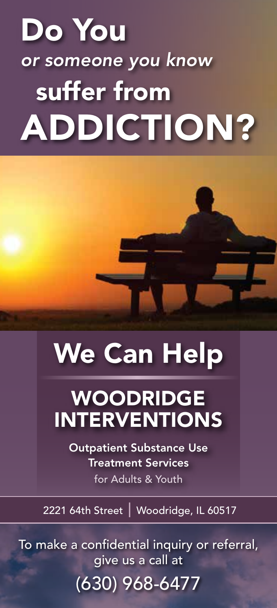# Do You *or someone you know* suffer from ADDICTION?

# We Can Help

## WOODRIDGE INTERVENTIONS

Outpatient Substance Use Treatment Services for Adults & Youth

2221 64th Street | Woodridge, IL 60517

To make a confidential inquiry or referral, give us a call at

## (630) 968-6477